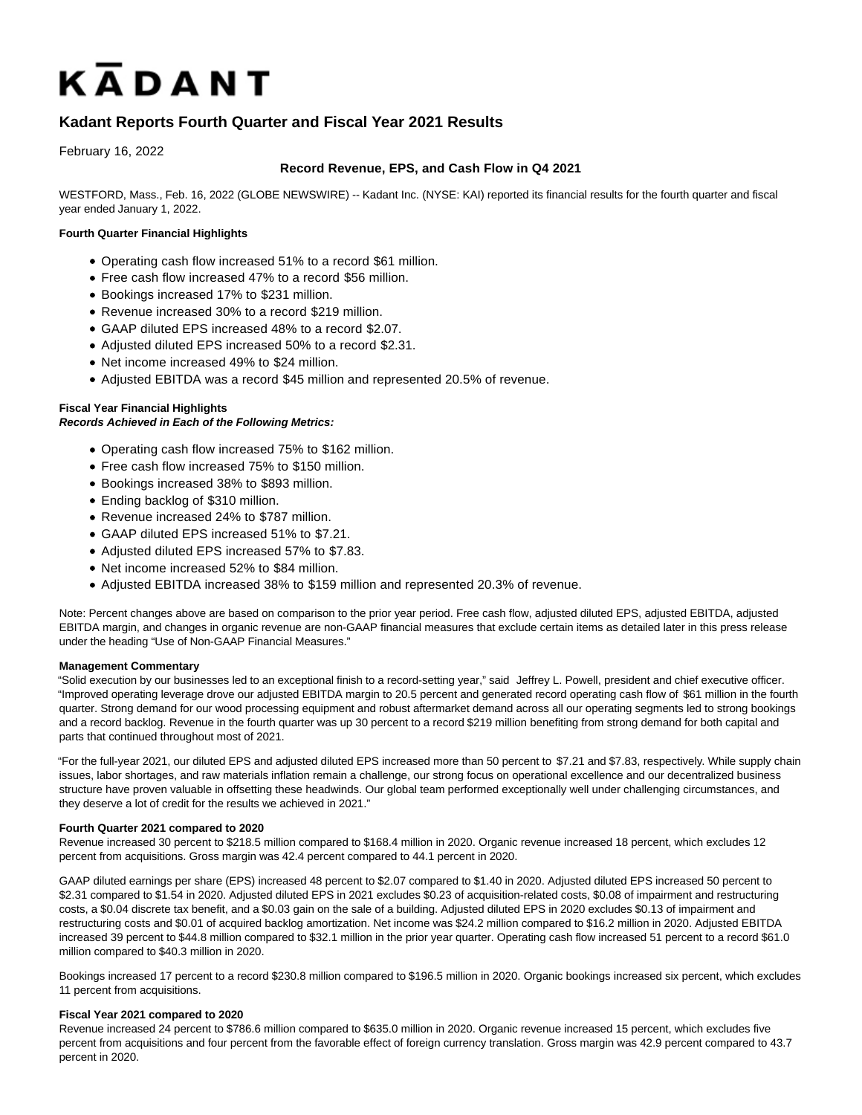# KADANT

## **Kadant Reports Fourth Quarter and Fiscal Year 2021 Results**

February 16, 2022

## **Record Revenue, EPS, and Cash Flow in Q4 2021**

WESTFORD, Mass., Feb. 16, 2022 (GLOBE NEWSWIRE) -- Kadant Inc. (NYSE: KAI) reported its financial results for the fourth quarter and fiscal year ended January 1, 2022.

## **Fourth Quarter Financial Highlights**

- Operating cash flow increased 51% to a record \$61 million.
- Free cash flow increased 47% to a record \$56 million.
- Bookings increased 17% to \$231 million.
- Revenue increased 30% to a record \$219 million.
- GAAP diluted EPS increased 48% to a record \$2.07.
- Adjusted diluted EPS increased 50% to a record \$2.31.
- Net income increased 49% to \$24 million.
- Adjusted EBITDA was a record \$45 million and represented 20.5% of revenue.

#### **Fiscal Year Financial Highlights Records Achieved in Each of the Following Metrics:**

- Operating cash flow increased 75% to \$162 million.
- Free cash flow increased 75% to \$150 million.
- Bookings increased 38% to \$893 million.
- Ending backlog of \$310 million.
- Revenue increased 24% to \$787 million.
- GAAP diluted EPS increased 51% to \$7.21.
- Adjusted diluted EPS increased 57% to \$7.83.
- Net income increased 52% to \$84 million.
- Adjusted EBITDA increased 38% to \$159 million and represented 20.3% of revenue.

Note: Percent changes above are based on comparison to the prior year period. Free cash flow, adjusted diluted EPS, adjusted EBITDA, adjusted EBITDA margin, and changes in organic revenue are non-GAAP financial measures that exclude certain items as detailed later in this press release under the heading "Use of Non-GAAP Financial Measures."

## **Management Commentary**

"Solid execution by our businesses led to an exceptional finish to a record-setting year," said Jeffrey L. Powell, president and chief executive officer. "Improved operating leverage drove our adjusted EBITDA margin to 20.5 percent and generated record operating cash flow of \$61 million in the fourth quarter. Strong demand for our wood processing equipment and robust aftermarket demand across all our operating segments led to strong bookings and a record backlog. Revenue in the fourth quarter was up 30 percent to a record \$219 million benefiting from strong demand for both capital and parts that continued throughout most of 2021.

"For the full-year 2021, our diluted EPS and adjusted diluted EPS increased more than 50 percent to \$7.21 and \$7.83, respectively. While supply chain issues, labor shortages, and raw materials inflation remain a challenge, our strong focus on operational excellence and our decentralized business structure have proven valuable in offsetting these headwinds. Our global team performed exceptionally well under challenging circumstances, and they deserve a lot of credit for the results we achieved in 2021."

## **Fourth Quarter 2021 compared to 2020**

Revenue increased 30 percent to \$218.5 million compared to \$168.4 million in 2020. Organic revenue increased 18 percent, which excludes 12 percent from acquisitions. Gross margin was 42.4 percent compared to 44.1 percent in 2020.

GAAP diluted earnings per share (EPS) increased 48 percent to \$2.07 compared to \$1.40 in 2020. Adjusted diluted EPS increased 50 percent to \$2.31 compared to \$1.54 in 2020. Adjusted diluted EPS in 2021 excludes \$0.23 of acquisition-related costs, \$0.08 of impairment and restructuring costs, a \$0.04 discrete tax benefit, and a \$0.03 gain on the sale of a building. Adjusted diluted EPS in 2020 excludes \$0.13 of impairment and restructuring costs and \$0.01 of acquired backlog amortization. Net income was \$24.2 million compared to \$16.2 million in 2020. Adjusted EBITDA increased 39 percent to \$44.8 million compared to \$32.1 million in the prior year quarter. Operating cash flow increased 51 percent to a record \$61.0 million compared to \$40.3 million in 2020.

Bookings increased 17 percent to a record \$230.8 million compared to \$196.5 million in 2020. Organic bookings increased six percent, which excludes 11 percent from acquisitions.

#### **Fiscal Year 2021 compared to 2020**

Revenue increased 24 percent to \$786.6 million compared to \$635.0 million in 2020. Organic revenue increased 15 percent, which excludes five percent from acquisitions and four percent from the favorable effect of foreign currency translation. Gross margin was 42.9 percent compared to 43.7 percent in 2020.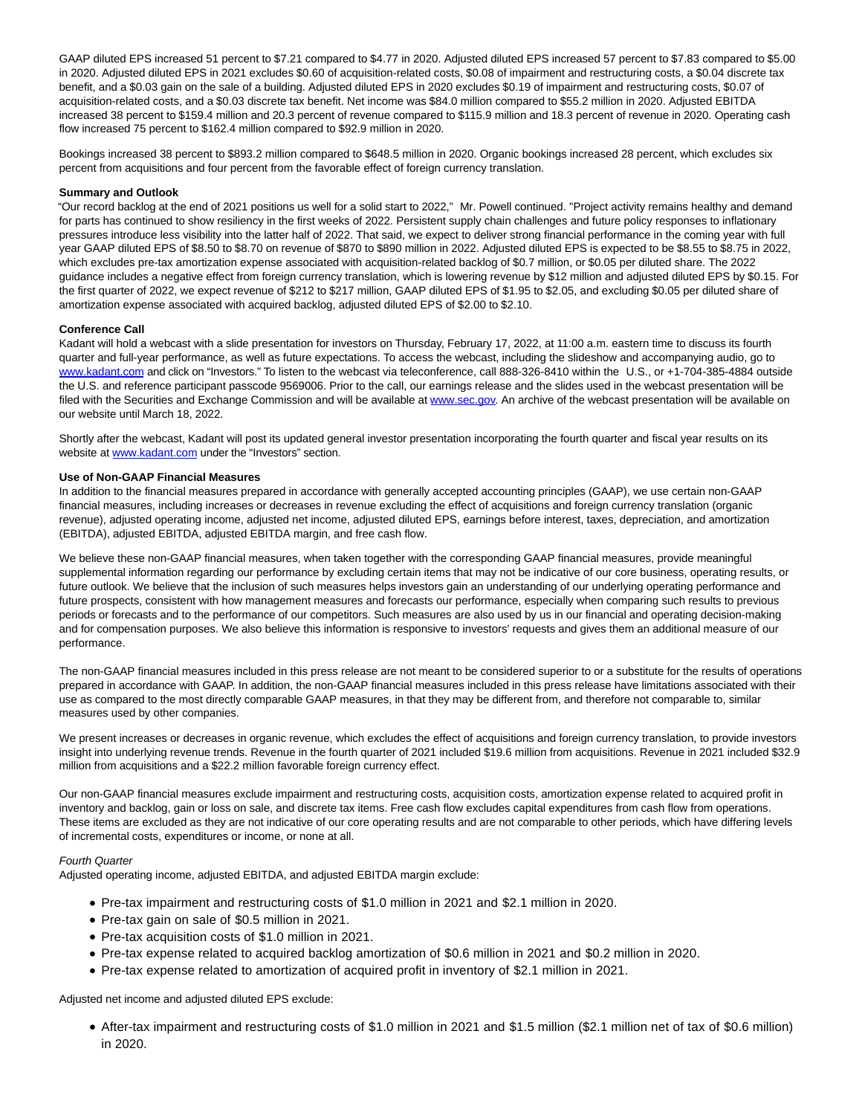GAAP diluted EPS increased 51 percent to \$7.21 compared to \$4.77 in 2020. Adjusted diluted EPS increased 57 percent to \$7.83 compared to \$5.00 in 2020. Adjusted diluted EPS in 2021 excludes \$0.60 of acquisition-related costs, \$0.08 of impairment and restructuring costs, a \$0.04 discrete tax benefit, and a \$0.03 gain on the sale of a building. Adjusted diluted EPS in 2020 excludes \$0.19 of impairment and restructuring costs, \$0.07 of acquisition-related costs, and a \$0.03 discrete tax benefit. Net income was \$84.0 million compared to \$55.2 million in 2020. Adjusted EBITDA increased 38 percent to \$159.4 million and 20.3 percent of revenue compared to \$115.9 million and 18.3 percent of revenue in 2020. Operating cash flow increased 75 percent to \$162.4 million compared to \$92.9 million in 2020.

Bookings increased 38 percent to \$893.2 million compared to \$648.5 million in 2020. Organic bookings increased 28 percent, which excludes six percent from acquisitions and four percent from the favorable effect of foreign currency translation.

#### **Summary and Outlook**

"Our record backlog at the end of 2021 positions us well for a solid start to 2022," Mr. Powell continued. "Project activity remains healthy and demand for parts has continued to show resiliency in the first weeks of 2022. Persistent supply chain challenges and future policy responses to inflationary pressures introduce less visibility into the latter half of 2022. That said, we expect to deliver strong financial performance in the coming year with full year GAAP diluted EPS of \$8.50 to \$8.70 on revenue of \$870 to \$890 million in 2022. Adjusted diluted EPS is expected to be \$8.55 to \$8.75 in 2022, which excludes pre-tax amortization expense associated with acquisition-related backlog of \$0.7 million, or \$0.05 per diluted share. The 2022 guidance includes a negative effect from foreign currency translation, which is lowering revenue by \$12 million and adjusted diluted EPS by \$0.15. For the first quarter of 2022, we expect revenue of \$212 to \$217 million, GAAP diluted EPS of \$1.95 to \$2.05, and excluding \$0.05 per diluted share of amortization expense associated with acquired backlog, adjusted diluted EPS of \$2.00 to \$2.10.

#### **Conference Call**

Kadant will hold a webcast with a slide presentation for investors on Thursday, February 17, 2022, at 11:00 a.m. eastern time to discuss its fourth quarter and full-year performance, as well as future expectations. To access the webcast, including the slideshow and accompanying audio, go to [www.kadant.com a](http://www.kadant.com/)nd click on "Investors." To listen to the webcast via teleconference, call 888-326-8410 within the U.S., or +1-704-385-4884 outside the U.S. and reference participant passcode 9569006. Prior to the call, our earnings release and the slides used in the webcast presentation will be filed with the Securities and Exchange Commission and will be available at [www.sec.gov.](https://www.globenewswire.com/Tracker?data=7qQvfN3d2Ic39zIuSIK39TcqPBNDiPqxc3uVrayO_EnUHP0VL1bw5UKxui0h3umS2PuBIuTr-nezYiMkz4VsEA==) An archive of the webcast presentation will be available on our website until March 18, 2022.

Shortly after the webcast, Kadant will post its updated general investor presentation incorporating the fourth quarter and fiscal year results on its website at [www.kadant.com u](https://www.globenewswire.com/Tracker?data=opuOK0T9En-QnXPZQYIyWNwI3_CWappJamTN9zEXNGaNPoE78a7wHR36td855546JwIeG-96r9TklRBbLDJG0Q==)nder the "Investors" section.

#### **Use of Non-GAAP Financial Measures**

In addition to the financial measures prepared in accordance with generally accepted accounting principles (GAAP), we use certain non-GAAP financial measures, including increases or decreases in revenue excluding the effect of acquisitions and foreign currency translation (organic revenue), adjusted operating income, adjusted net income, adjusted diluted EPS, earnings before interest, taxes, depreciation, and amortization (EBITDA), adjusted EBITDA, adjusted EBITDA margin, and free cash flow.

We believe these non-GAAP financial measures, when taken together with the corresponding GAAP financial measures, provide meaningful supplemental information regarding our performance by excluding certain items that may not be indicative of our core business, operating results, or future outlook. We believe that the inclusion of such measures helps investors gain an understanding of our underlying operating performance and future prospects, consistent with how management measures and forecasts our performance, especially when comparing such results to previous periods or forecasts and to the performance of our competitors. Such measures are also used by us in our financial and operating decision-making and for compensation purposes. We also believe this information is responsive to investors' requests and gives them an additional measure of our performance.

The non-GAAP financial measures included in this press release are not meant to be considered superior to or a substitute for the results of operations prepared in accordance with GAAP. In addition, the non-GAAP financial measures included in this press release have limitations associated with their use as compared to the most directly comparable GAAP measures, in that they may be different from, and therefore not comparable to, similar measures used by other companies.

We present increases or decreases in organic revenue, which excludes the effect of acquisitions and foreign currency translation, to provide investors insight into underlying revenue trends. Revenue in the fourth quarter of 2021 included \$19.6 million from acquisitions. Revenue in 2021 included \$32.9 million from acquisitions and a \$22.2 million favorable foreign currency effect.

Our non-GAAP financial measures exclude impairment and restructuring costs, acquisition costs, amortization expense related to acquired profit in inventory and backlog, gain or loss on sale, and discrete tax items. Free cash flow excludes capital expenditures from cash flow from operations. These items are excluded as they are not indicative of our core operating results and are not comparable to other periods, which have differing levels of incremental costs, expenditures or income, or none at all.

#### Fourth Quarter

Adjusted operating income, adjusted EBITDA, and adjusted EBITDA margin exclude:

- Pre-tax impairment and restructuring costs of \$1.0 million in 2021 and \$2.1 million in 2020.
- Pre-tax gain on sale of \$0.5 million in 2021.
- Pre-tax acquisition costs of \$1.0 million in 2021.
- Pre-tax expense related to acquired backlog amortization of \$0.6 million in 2021 and \$0.2 million in 2020.
- Pre-tax expense related to amortization of acquired profit in inventory of \$2.1 million in 2021.

Adjusted net income and adjusted diluted EPS exclude:

After-tax impairment and restructuring costs of \$1.0 million in 2021 and \$1.5 million (\$2.1 million net of tax of \$0.6 million) in 2020.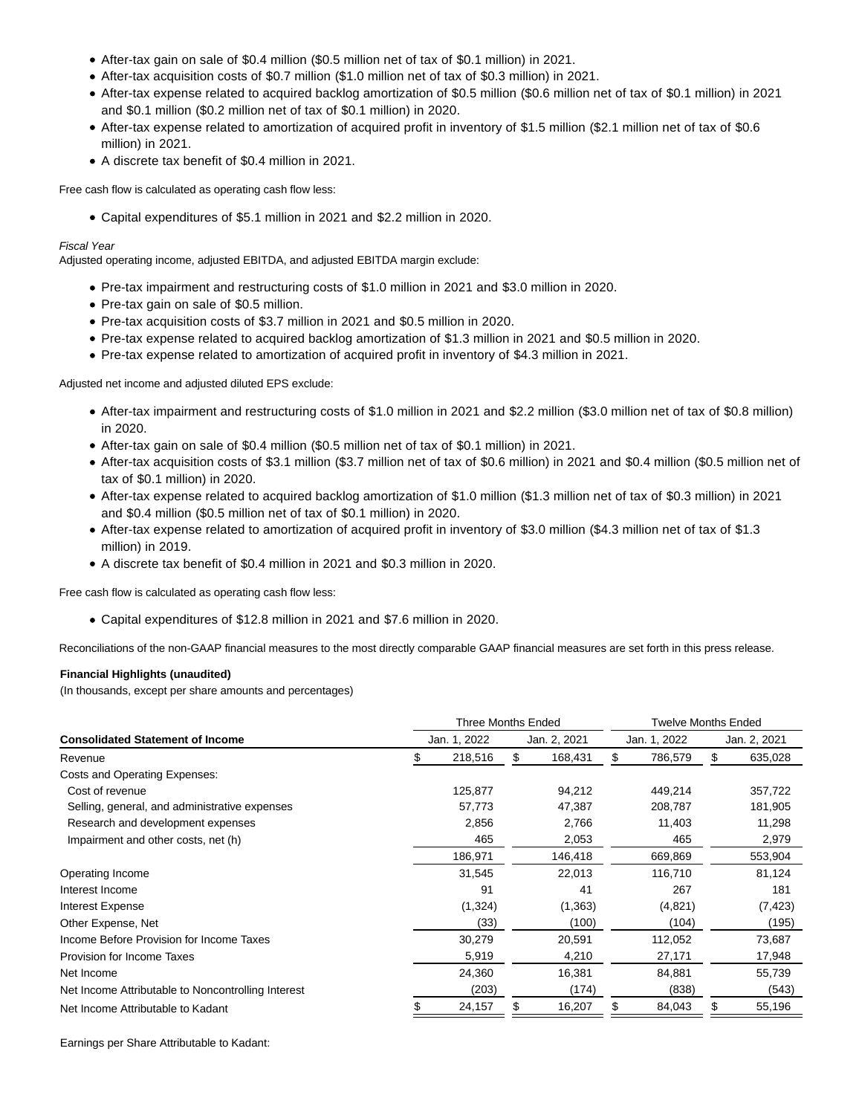- After-tax gain on sale of \$0.4 million (\$0.5 million net of tax of \$0.1 million) in 2021.
- After-tax acquisition costs of \$0.7 million (\$1.0 million net of tax of \$0.3 million) in 2021.
- After-tax expense related to acquired backlog amortization of \$0.5 million (\$0.6 million net of tax of \$0.1 million) in 2021 and \$0.1 million (\$0.2 million net of tax of \$0.1 million) in 2020.
- After-tax expense related to amortization of acquired profit in inventory of \$1.5 million (\$2.1 million net of tax of \$0.6 million) in 2021.
- A discrete tax benefit of \$0.4 million in 2021.

Free cash flow is calculated as operating cash flow less:

Capital expenditures of \$5.1 million in 2021 and \$2.2 million in 2020.

### Fiscal Year

Adjusted operating income, adjusted EBITDA, and adjusted EBITDA margin exclude:

- Pre-tax impairment and restructuring costs of \$1.0 million in 2021 and \$3.0 million in 2020.
- Pre-tax gain on sale of \$0.5 million.
- Pre-tax acquisition costs of \$3.7 million in 2021 and \$0.5 million in 2020.
- Pre-tax expense related to acquired backlog amortization of \$1.3 million in 2021 and \$0.5 million in 2020.
- Pre-tax expense related to amortization of acquired profit in inventory of \$4.3 million in 2021.

Adjusted net income and adjusted diluted EPS exclude:

- After-tax impairment and restructuring costs of \$1.0 million in 2021 and \$2.2 million (\$3.0 million net of tax of \$0.8 million) in 2020.
- After-tax gain on sale of \$0.4 million (\$0.5 million net of tax of \$0.1 million) in 2021.
- After-tax acquisition costs of \$3.1 million (\$3.7 million net of tax of \$0.6 million) in 2021 and \$0.4 million (\$0.5 million net of tax of \$0.1 million) in 2020.
- After-tax expense related to acquired backlog amortization of \$1.0 million (\$1.3 million net of tax of \$0.3 million) in 2021 and \$0.4 million (\$0.5 million net of tax of \$0.1 million) in 2020.
- After-tax expense related to amortization of acquired profit in inventory of \$3.0 million (\$4.3 million net of tax of \$1.3 million) in 2019.
- A discrete tax benefit of \$0.4 million in 2021 and \$0.3 million in 2020.

Free cash flow is calculated as operating cash flow less:

Capital expenditures of \$12.8 million in 2021 and \$7.6 million in 2020.

Reconciliations of the non-GAAP financial measures to the most directly comparable GAAP financial measures are set forth in this press release.

## **Financial Highlights (unaudited)**

(In thousands, except per share amounts and percentages)

|                                                    | Three Months Ended |              |     |              |     | <b>Twelve Months Ended</b> |     |              |  |
|----------------------------------------------------|--------------------|--------------|-----|--------------|-----|----------------------------|-----|--------------|--|
| <b>Consolidated Statement of Income</b>            |                    | Jan. 1, 2022 |     | Jan. 2, 2021 |     | Jan. 1, 2022               |     | Jan. 2, 2021 |  |
| Revenue                                            |                    | 218,516      | \$. | 168,431      | \$. | 786,579                    | \$. | 635,028      |  |
| Costs and Operating Expenses:                      |                    |              |     |              |     |                            |     |              |  |
| Cost of revenue                                    |                    | 125,877      |     | 94,212       |     | 449,214                    |     | 357,722      |  |
| Selling, general, and administrative expenses      |                    | 57,773       |     | 47,387       |     | 208,787                    |     | 181,905      |  |
| Research and development expenses                  |                    | 2,856        |     | 2,766        |     | 11,403                     |     | 11,298       |  |
| Impairment and other costs, net (h)                |                    | 465          |     | 2,053        |     | 465                        |     | 2,979        |  |
|                                                    |                    | 186,971      |     | 146,418      |     | 669,869                    |     | 553,904      |  |
| Operating Income                                   |                    | 31,545       |     | 22,013       |     | 116,710                    |     | 81,124       |  |
| Interest Income                                    |                    | 91           |     | 41           |     | 267                        |     | 181          |  |
| <b>Interest Expense</b>                            |                    | (1, 324)     |     | (1, 363)     |     | (4,821)                    |     | (7, 423)     |  |
| Other Expense, Net                                 |                    | (33)         |     | (100)        |     | (104)                      |     | (195)        |  |
| Income Before Provision for Income Taxes           |                    | 30,279       |     | 20,591       |     | 112,052                    |     | 73,687       |  |
| Provision for Income Taxes                         |                    | 5,919        |     | 4,210        |     | 27,171                     |     | 17,948       |  |
| Net Income                                         |                    | 24,360       |     | 16,381       |     | 84,881                     |     | 55,739       |  |
| Net Income Attributable to Noncontrolling Interest |                    | (203)        |     | (174)        |     | (838)                      |     | (543)        |  |
| Net Income Attributable to Kadant                  |                    | 24,157       | Ж.  | 16,207       | S   | 84,043                     |     | 55,196       |  |

Earnings per Share Attributable to Kadant: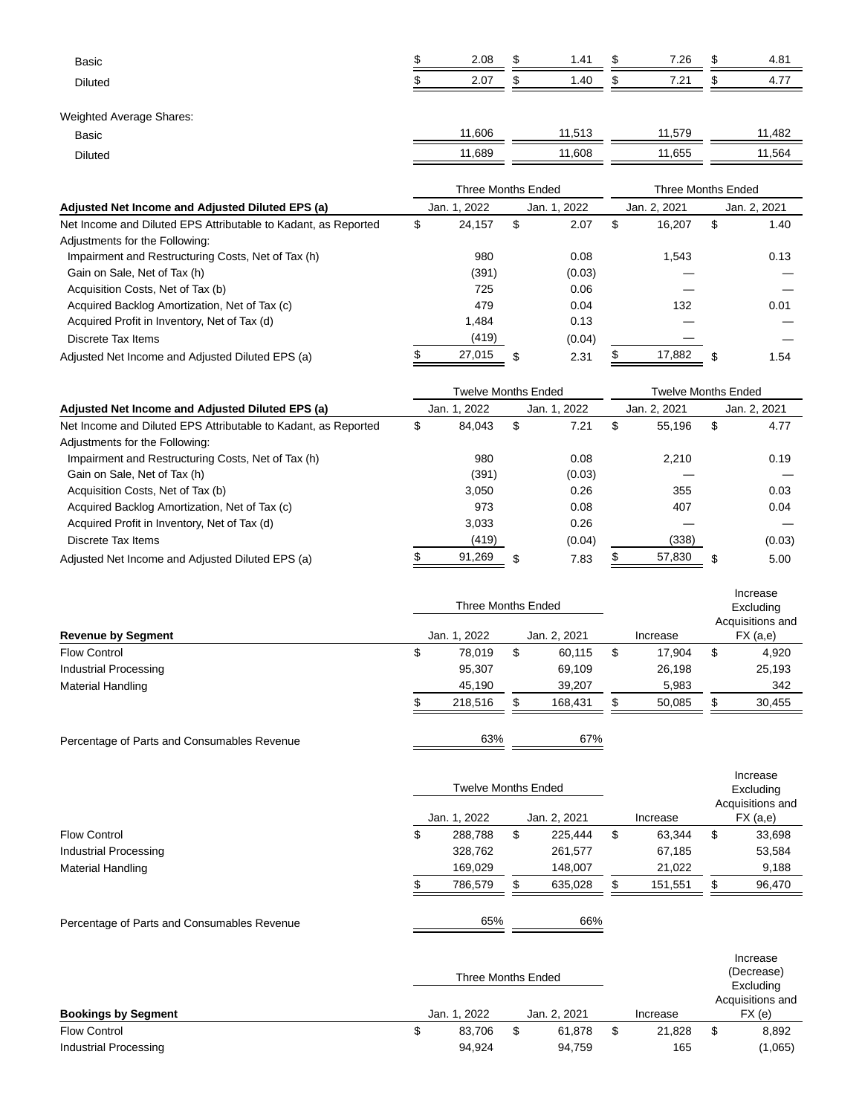| Basic                                                                                                              | $\frac{3}{2}$              | 2.08                                      | \$ | 1.41         | \$ | 7.26                       | \$                            | 4.81                          |
|--------------------------------------------------------------------------------------------------------------------|----------------------------|-------------------------------------------|----|--------------|----|----------------------------|-------------------------------|-------------------------------|
| Diluted                                                                                                            | \$                         | 2.07                                      | \$ | 1.40         | \$ | 7.21                       | \$                            | 4.77                          |
| Weighted Average Shares:                                                                                           |                            |                                           |    |              |    |                            |                               |                               |
| Basic                                                                                                              |                            | 11,606                                    |    | 11,513       |    | 11,579                     |                               | 11,482                        |
| <b>Diluted</b>                                                                                                     |                            | 11,689                                    |    | 11,608       |    | 11,655                     |                               | 11,564                        |
|                                                                                                                    |                            |                                           |    |              |    |                            |                               |                               |
|                                                                                                                    |                            | <b>Three Months Ended</b><br>Jan. 1, 2022 |    | Jan. 1, 2022 |    | Three Months Ended         |                               | Jan. 2, 2021                  |
| Adjusted Net Income and Adjusted Diluted EPS (a)<br>Net Income and Diluted EPS Attributable to Kadant, as Reported | \$                         | 24,157                                    | \$ | 2.07         | \$ | Jan. 2, 2021<br>16,207     | \$                            | 1.40                          |
| Adjustments for the Following:<br>Impairment and Restructuring Costs, Net of Tax (h)                               |                            | 980                                       |    | 0.08         |    | 1,543                      |                               | 0.13                          |
| Gain on Sale, Net of Tax (h)                                                                                       |                            | (391)                                     |    | (0.03)       |    |                            |                               |                               |
| Acquisition Costs, Net of Tax (b)                                                                                  |                            | 725                                       |    | 0.06         |    |                            |                               |                               |
| Acquired Backlog Amortization, Net of Tax (c)                                                                      |                            | 479                                       |    | 0.04         |    | 132                        |                               | 0.01                          |
| Acquired Profit in Inventory, Net of Tax (d)                                                                       |                            | 1,484                                     |    | 0.13         |    |                            |                               |                               |
| Discrete Tax Items                                                                                                 |                            | (419)                                     |    | (0.04)       |    |                            |                               |                               |
| Adjusted Net Income and Adjusted Diluted EPS (a)                                                                   | \$                         | 27,015                                    | \$ | 2.31         | \$ | 17,882                     | \$                            | 1.54                          |
|                                                                                                                    |                            | <b>Twelve Months Ended</b>                |    |              |    | <b>Twelve Months Ended</b> |                               |                               |
| Adjusted Net Income and Adjusted Diluted EPS (a)                                                                   |                            | Jan. 1, 2022                              |    | Jan. 1, 2022 |    | Jan. 2, 2021               |                               | Jan. 2, 2021                  |
| Net Income and Diluted EPS Attributable to Kadant, as Reported<br>Adjustments for the Following:                   | \$                         | 84,043                                    | \$ | 7.21         | \$ | 55,196                     | \$                            | 4.77                          |
| Impairment and Restructuring Costs, Net of Tax (h)                                                                 |                            | 980                                       |    | 0.08         |    | 2,210                      |                               | 0.19                          |
| Gain on Sale, Net of Tax (h)                                                                                       |                            | (391)                                     |    | (0.03)       |    |                            |                               |                               |
| Acquisition Costs, Net of Tax (b)                                                                                  |                            | 3,050                                     |    | 0.26         |    | 355                        |                               | 0.03                          |
| Acquired Backlog Amortization, Net of Tax (c)                                                                      |                            | 973                                       |    | 0.08         |    | 407                        |                               | 0.04                          |
| Acquired Profit in Inventory, Net of Tax (d)                                                                       |                            | 3,033                                     |    | 0.26         |    |                            |                               |                               |
| <b>Discrete Tax Items</b>                                                                                          |                            | (419)                                     |    | (0.04)       |    | (338)                      |                               | (0.03)                        |
| Adjusted Net Income and Adjusted Diluted EPS (a)                                                                   | \$                         | 91,269                                    | \$ | 7.83         | \$ | 57,830                     | \$                            | 5.00                          |
|                                                                                                                    |                            |                                           |    |              |    |                            |                               | Increase                      |
|                                                                                                                    |                            | Three Months Ended                        |    |              |    |                            | Excluding<br>Acquisitions and |                               |
| <b>Revenue by Segment</b>                                                                                          |                            | Jan. 1, 2022                              |    | Jan. 2, 2021 |    | Increase                   |                               | $FX$ (a,e)                    |
| <b>Flow Control</b>                                                                                                | \$                         | 78,019                                    | \$ | 60,115       | \$ | 17,904                     | \$                            | 4,920                         |
| <b>Industrial Processing</b>                                                                                       |                            | 95,307                                    |    | 69,109       |    | 26,198                     |                               | 25,193                        |
| Material Handling                                                                                                  |                            | 45,190                                    |    | 39,207       |    | 5,983                      |                               | 342                           |
|                                                                                                                    | \$                         | 218,516                                   | \$ | 168,431      | \$ | 50,085                     | \$                            | 30,455                        |
| Percentage of Parts and Consumables Revenue                                                                        |                            | 63%                                       |    | 67%          |    |                            |                               |                               |
|                                                                                                                    | <b>Twelve Months Ended</b> |                                           |    |              |    |                            |                               | Increase                      |
|                                                                                                                    |                            |                                           |    |              |    |                            |                               | Excluding<br>Acquisitions and |
|                                                                                                                    |                            | Jan. 1, 2022                              |    | Jan. 2, 2021 |    | Increase                   |                               | FX (a,e)                      |
| <b>Flow Control</b>                                                                                                | \$                         | 288,788                                   | \$ | 225,444      | \$ | 63,344                     | \$                            | 33,698                        |
| <b>Industrial Processing</b>                                                                                       |                            | 328,762                                   |    | 261,577      |    | 67,185                     |                               | 53,584                        |
| <b>Material Handling</b>                                                                                           |                            | 169,029                                   |    | 148,007      |    | 21,022                     |                               | 9,188                         |
|                                                                                                                    | \$                         | 786,579                                   | \$ | 635,028      | \$ | 151,551                    | \$                            | 96,470                        |
| Percentage of Parts and Consumables Revenue                                                                        |                            | 65%                                       |    | 66%          |    |                            |                               |                               |
|                                                                                                                    |                            |                                           |    |              |    |                            |                               |                               |
|                                                                                                                    | <b>Three Months Ended</b>  |                                           |    |              |    |                            |                               | Increase<br>(Decrease)        |
|                                                                                                                    |                            |                                           |    |              |    |                            |                               | Excluding<br>Acquisitions and |
| <b>Bookings by Segment</b>                                                                                         |                            | Jan. 1, 2022                              |    | Jan. 2, 2021 |    | Increase                   |                               | FX(e)                         |
| <b>Flow Control</b>                                                                                                | \$                         | 83,706                                    | \$ | 61,878       | \$ | 21,828                     | \$                            | 8,892                         |
| <b>Industrial Processing</b>                                                                                       |                            | 94,924                                    |    | 94,759       |    | 165                        |                               | (1,065)                       |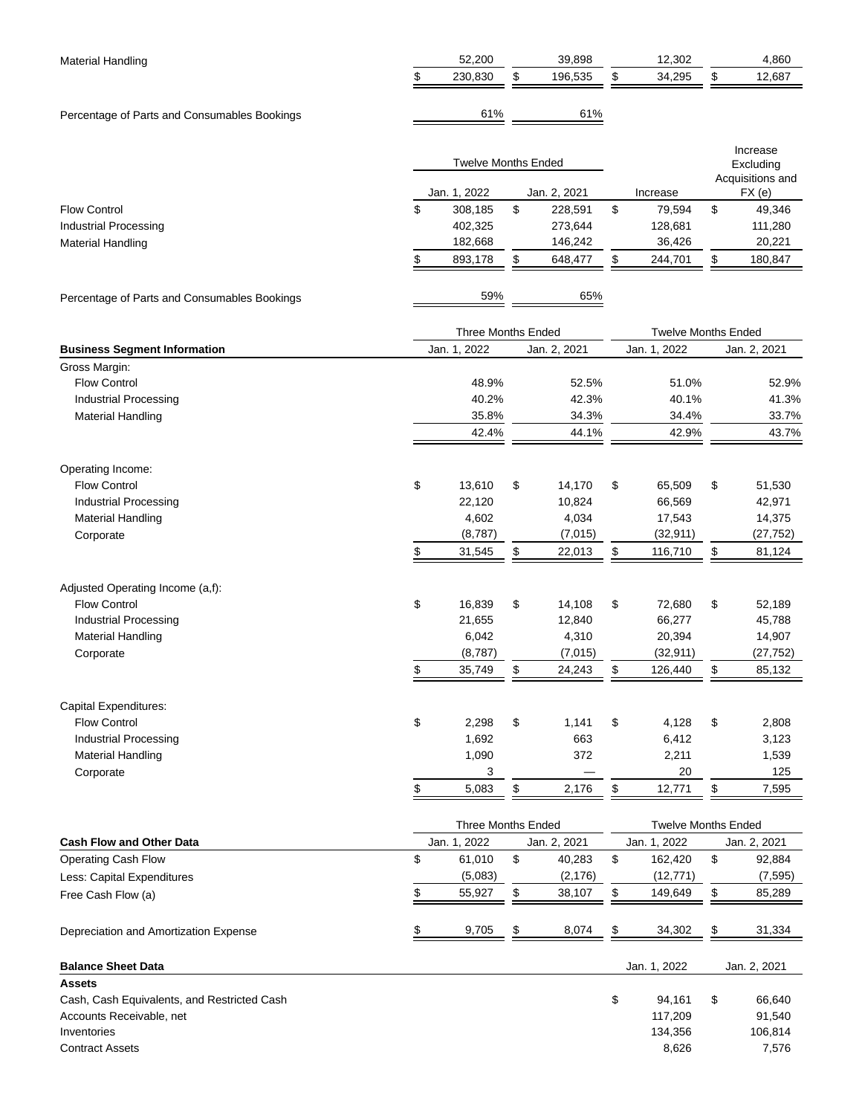| <b>Material Handling</b>                     | 52,200                     | 39,898             | 12,302                     | 4,860             |
|----------------------------------------------|----------------------------|--------------------|----------------------------|-------------------|
|                                              | \$<br>230,830              | \$<br>196,535      | \$<br>34,295               | \$<br>12,687      |
|                                              |                            |                    |                            |                   |
| Percentage of Parts and Consumables Bookings | 61%                        | 61%                |                            |                   |
|                                              |                            |                    |                            |                   |
|                                              |                            |                    |                            | Increase          |
|                                              | <b>Twelve Months Ended</b> |                    |                            | Excluding         |
|                                              |                            |                    |                            | Acquisitions and  |
|                                              | Jan. 1, 2022               | Jan. 2, 2021       | Increase                   | FX(e)             |
| <b>Flow Control</b>                          | \$<br>308,185              | \$<br>228,591      | \$<br>79,594               | \$<br>49,346      |
| <b>Industrial Processing</b>                 | 402,325<br>182,668         | 273,644<br>146,242 | 128,681<br>36,426          | 111,280<br>20,221 |
| <b>Material Handling</b>                     |                            |                    |                            |                   |
|                                              | \$<br>893,178              | \$<br>648,477      | \$<br>244,701              | \$<br>180,847     |
|                                              | 59%                        | 65%                |                            |                   |
| Percentage of Parts and Consumables Bookings |                            |                    |                            |                   |
|                                              | <b>Three Months Ended</b>  |                    | <b>Twelve Months Ended</b> |                   |
| <b>Business Segment Information</b>          | Jan. 1, 2022               | Jan. 2, 2021       | Jan. 1, 2022               | Jan. 2, 2021      |
| Gross Margin:                                |                            |                    |                            |                   |
| <b>Flow Control</b>                          | 48.9%                      | 52.5%              | 51.0%                      | 52.9%             |
| <b>Industrial Processing</b>                 | 40.2%                      | 42.3%              | 40.1%                      | 41.3%             |
| <b>Material Handling</b>                     | 35.8%                      | 34.3%              | 34.4%                      | 33.7%             |
|                                              | 42.4%                      | 44.1%              | 42.9%                      | 43.7%             |
|                                              |                            |                    |                            |                   |
| Operating Income:                            |                            |                    |                            |                   |
| <b>Flow Control</b>                          | \$<br>13,610               | \$<br>14,170       | \$<br>65,509               | \$<br>51,530      |
| <b>Industrial Processing</b>                 | 22,120                     | 10,824             | 66,569                     | 42,971            |
| <b>Material Handling</b>                     | 4,602                      | 4,034              | 17,543                     | 14,375            |
| Corporate                                    | (8,787)                    | (7,015)            | (32, 911)                  | (27, 752)         |
|                                              | \$<br>31,545               | \$<br>22,013       | \$<br>116,710              | \$<br>81,124      |
|                                              |                            |                    |                            |                   |
| Adjusted Operating Income (a,f):             |                            |                    |                            |                   |
| <b>Flow Control</b>                          | \$<br>16,839               | \$<br>14,108       | \$<br>72,680               | \$<br>52,189      |
| <b>Industrial Processing</b>                 | 21,655                     | 12,840             | 66,277                     | 45,788            |
| <b>Material Handling</b>                     | 6,042                      | 4,310              | 20,394                     | 14,907            |
| Corporate                                    | (8,787)                    | (7,015)            | (32, 911)                  | (27, 752)         |
|                                              | \$<br>35,749               | \$<br>24,243       | \$<br>126,440              | \$<br>85,132      |
|                                              |                            |                    |                            |                   |
| Capital Expenditures:<br><b>Flow Control</b> | \$<br>2,298                | \$<br>1,141        | \$<br>4,128                | 2,808             |
| <b>Industrial Processing</b>                 | 1,692                      | 663                | 6,412                      | \$<br>3,123       |
| <b>Material Handling</b>                     | 1,090                      | 372                | 2,211                      | 1,539             |
| Corporate                                    | 3                          |                    | 20                         | 125               |
|                                              | \$<br>5,083                | \$<br>2,176        | \$<br>12,771               | \$<br>7,595       |
|                                              |                            |                    |                            |                   |
|                                              |                            |                    |                            |                   |

|                                       | Three Months Ended |   |              |  | <b>Twelve Months Ended</b> |   |              |  |
|---------------------------------------|--------------------|---|--------------|--|----------------------------|---|--------------|--|
| <b>Cash Flow and Other Data</b>       | Jan. 1. 2022       |   | Jan. 2, 2021 |  | Jan. 1. 2022               |   | Jan. 2, 2021 |  |
| <b>Operating Cash Flow</b>            | \$<br>61.010       | S | 40.283       |  | 162.420                    | J | 92,884       |  |
| Less: Capital Expenditures            | (5,083)            |   | (2, 176)     |  | (12.771)                   |   | (7, 595)     |  |
| Free Cash Flow (a)                    | 55.927             |   | 38.107       |  | 149.649                    |   | 85.289       |  |
| Depreciation and Amortization Expense | 9.705              |   | 8.074        |  | 34.302                     |   | 31,334       |  |

| <b>Balance Sheet Data</b>                   | Jan. 1. 2022 | Jan. 2. 2021 |
|---------------------------------------------|--------------|--------------|
| Assets                                      |              |              |
| Cash, Cash Equivalents, and Restricted Cash | 94.161       | 66,640       |
| Accounts Receivable, net                    | 117.209      | 91,540       |
| Inventories                                 | 134.356      | 106.814      |
| <b>Contract Assets</b>                      | 8.626        | 7.576        |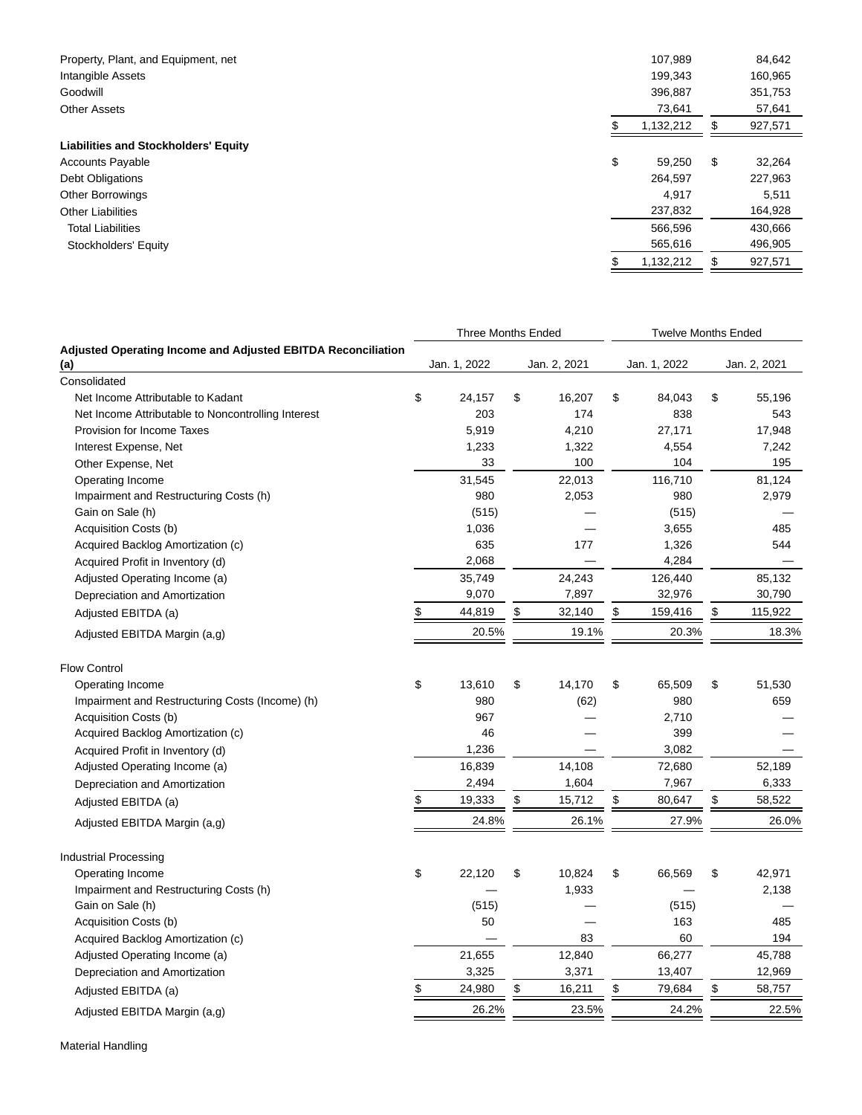| Property, Plant, and Equipment, net         | 107,989      | 84,642        |
|---------------------------------------------|--------------|---------------|
| Intangible Assets                           | 199,343      | 160,965       |
| Goodwill                                    | 396,887      | 351,753       |
| <b>Other Assets</b>                         | 73,641       | 57,641        |
|                                             | 1,132,212    | \$<br>927,571 |
| <b>Liabilities and Stockholders' Equity</b> |              |               |
| <b>Accounts Payable</b>                     | \$<br>59,250 | \$<br>32,264  |
| Debt Obligations                            | 264,597      | 227,963       |
| <b>Other Borrowings</b>                     | 4,917        | 5,511         |
| <b>Other Liabilities</b>                    | 237,832      | 164,928       |
| <b>Total Liabilities</b>                    | 566,596      | 430,666       |
| Stockholders' Equity                        | 565,616      | 496,905       |
|                                             | 1,132,212    | \$<br>927,571 |
|                                             |              |               |

|                                                                     | <b>Three Months Ended</b> |              |    |              |    | <b>Twelve Months Ended</b> |    |              |  |
|---------------------------------------------------------------------|---------------------------|--------------|----|--------------|----|----------------------------|----|--------------|--|
| <b>Adjusted Operating Income and Adjusted EBITDA Reconciliation</b> |                           |              |    |              |    |                            |    |              |  |
| (a)<br>Consolidated                                                 |                           | Jan. 1, 2022 |    | Jan. 2, 2021 |    | Jan. 1, 2022               |    | Jan. 2, 2021 |  |
| Net Income Attributable to Kadant                                   | \$                        | 24,157       | \$ | 16,207       | \$ | 84,043                     | \$ | 55,196       |  |
| Net Income Attributable to Noncontrolling Interest                  |                           | 203          |    | 174          |    | 838                        |    | 543          |  |
| Provision for Income Taxes                                          |                           | 5,919        |    | 4,210        |    | 27,171                     |    | 17,948       |  |
| Interest Expense, Net                                               |                           | 1,233        |    | 1,322        |    | 4,554                      |    | 7,242        |  |
| Other Expense, Net                                                  |                           | 33           |    | 100          |    | 104                        |    | 195          |  |
| Operating Income                                                    |                           | 31,545       |    | 22,013       |    | 116,710                    |    | 81,124       |  |
| Impairment and Restructuring Costs (h)                              |                           | 980          |    | 2,053        |    | 980                        |    | 2,979        |  |
| Gain on Sale (h)                                                    |                           | (515)        |    |              |    | (515)                      |    |              |  |
| Acquisition Costs (b)                                               |                           | 1,036        |    |              |    | 3,655                      |    | 485          |  |
| Acquired Backlog Amortization (c)                                   |                           | 635          |    | 177          |    | 1,326                      |    | 544          |  |
| Acquired Profit in Inventory (d)                                    |                           | 2,068        |    |              |    | 4,284                      |    |              |  |
| Adjusted Operating Income (a)                                       |                           | 35,749       |    | 24,243       |    | 126,440                    |    | 85,132       |  |
| Depreciation and Amortization                                       |                           | 9,070        |    | 7,897        |    | 32,976                     |    | 30,790       |  |
| Adjusted EBITDA (a)                                                 | \$                        | 44,819       | \$ | 32,140       | \$ | 159,416                    | \$ | 115,922      |  |
| Adjusted EBITDA Margin (a,g)                                        |                           | 20.5%        |    | 19.1%        |    | 20.3%                      |    | 18.3%        |  |
| <b>Flow Control</b>                                                 |                           |              |    |              |    |                            |    |              |  |
| Operating Income                                                    | \$                        | 13,610       | \$ | 14,170       | \$ | 65,509                     | \$ | 51,530       |  |
| Impairment and Restructuring Costs (Income) (h)                     |                           | 980          |    | (62)         |    | 980                        |    | 659          |  |
| Acquisition Costs (b)                                               |                           | 967          |    |              |    | 2,710                      |    |              |  |
| Acquired Backlog Amortization (c)                                   |                           | 46           |    |              |    | 399                        |    |              |  |
| Acquired Profit in Inventory (d)                                    |                           | 1,236        |    |              |    | 3,082                      |    |              |  |
| Adjusted Operating Income (a)                                       |                           | 16,839       |    | 14,108       |    | 72,680                     |    | 52,189       |  |
| Depreciation and Amortization                                       |                           | 2,494        |    | 1,604        |    | 7,967                      |    | 6,333        |  |
| Adjusted EBITDA (a)                                                 | \$                        | 19,333       | \$ | 15,712       | \$ | 80,647                     | \$ | 58,522       |  |
| Adjusted EBITDA Margin (a,g)                                        |                           | 24.8%        |    | 26.1%        |    | 27.9%                      |    | 26.0%        |  |
| <b>Industrial Processing</b>                                        |                           |              |    |              |    |                            |    |              |  |
| Operating Income                                                    | \$                        | 22,120       | \$ | 10,824       | \$ | 66,569                     | \$ | 42,971       |  |
| Impairment and Restructuring Costs (h)                              |                           |              |    | 1,933        |    |                            |    | 2,138        |  |
| Gain on Sale (h)                                                    |                           | (515)        |    |              |    | (515)                      |    |              |  |
| Acquisition Costs (b)                                               |                           | 50           |    |              |    | 163                        |    | 485          |  |
| Acquired Backlog Amortization (c)                                   |                           |              |    | 83           |    | 60                         |    | 194          |  |
| Adjusted Operating Income (a)                                       |                           | 21,655       |    | 12,840       |    | 66,277                     |    | 45,788       |  |
| Depreciation and Amortization                                       |                           | 3,325        |    | 3,371        |    | 13,407                     |    | 12,969       |  |
| Adjusted EBITDA (a)                                                 | \$                        | 24,980       | \$ | 16,211       | \$ | 79,684                     | \$ | 58,757       |  |
| Adjusted EBITDA Margin (a,g)                                        |                           | 26.2%        |    | 23.5%        |    | 24.2%                      |    | 22.5%        |  |

Material Handling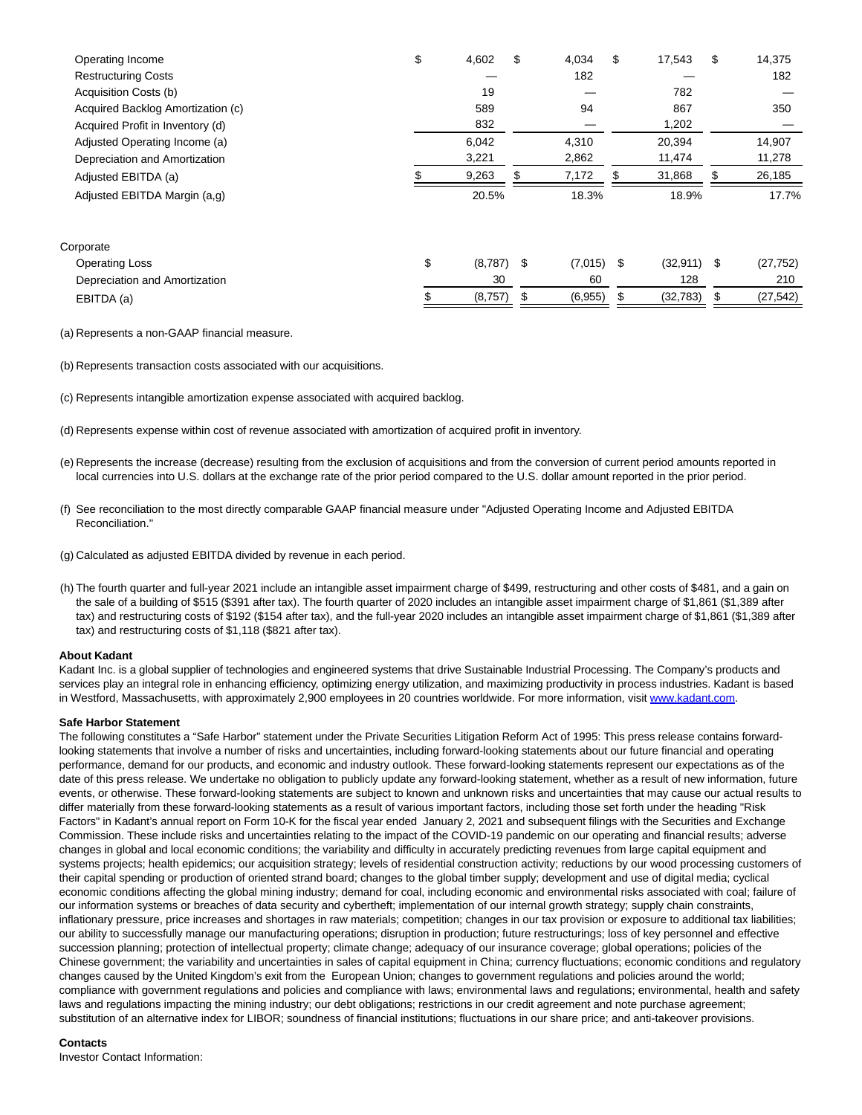| Operating Income                  | \$<br>4,602        | \$ | 4,034   | \$   | 17,543        | \$ | 14,375    |
|-----------------------------------|--------------------|----|---------|------|---------------|----|-----------|
| <b>Restructuring Costs</b>        |                    |    | 182     |      |               |    | 182       |
| Acquisition Costs (b)             | 19                 |    |         |      | 782           |    |           |
| Acquired Backlog Amortization (c) | 589                |    | 94      |      | 867           |    | 350       |
| Acquired Profit in Inventory (d)  | 832                |    |         |      | 1,202         |    |           |
| Adjusted Operating Income (a)     | 6,042              |    | 4,310   |      | 20,394        |    | 14,907    |
| Depreciation and Amortization     | 3,221              |    | 2,862   |      | 11,474        |    | 11,278    |
| Adjusted EBITDA (a)               | 9,263              | \$ | 7,172   | \$.  | 31,868        | \$ | 26,185    |
| Adjusted EBITDA Margin (a,g)      | 20.5%              |    | 18.3%   |      | 18.9%         |    | 17.7%     |
| Corporate                         |                    |    |         |      |               |    |           |
| <b>Operating Loss</b>             | \$<br>$(8,787)$ \$ |    | (7,015) | - \$ | $(32,911)$ \$ |    | (27, 752) |
| Depreciation and Amortization     | 30                 |    | 60      |      | 128           |    | 210       |
| EBITDA (a)                        | (8,757)            | S  | (6,955) | S    | (32, 783)     | S  | (27, 542) |

(a) Represents a non-GAAP financial measure.

(b) Represents transaction costs associated with our acquisitions.

(c) Represents intangible amortization expense associated with acquired backlog.

- (d) Represents expense within cost of revenue associated with amortization of acquired profit in inventory.
- (e) Represents the increase (decrease) resulting from the exclusion of acquisitions and from the conversion of current period amounts reported in local currencies into U.S. dollars at the exchange rate of the prior period compared to the U.S. dollar amount reported in the prior period.
- (f) See reconciliation to the most directly comparable GAAP financial measure under "Adjusted Operating Income and Adjusted EBITDA Reconciliation."
- (g) Calculated as adjusted EBITDA divided by revenue in each period.
- (h) The fourth quarter and full-year 2021 include an intangible asset impairment charge of \$499, restructuring and other costs of \$481, and a gain on the sale of a building of \$515 (\$391 after tax). The fourth quarter of 2020 includes an intangible asset impairment charge of \$1,861 (\$1,389 after tax) and restructuring costs of \$192 (\$154 after tax), and the full-year 2020 includes an intangible asset impairment charge of \$1,861 (\$1,389 after tax) and restructuring costs of \$1,118 (\$821 after tax).

#### **About Kadant**

Kadant Inc. is a global supplier of technologies and engineered systems that drive Sustainable Industrial Processing. The Company's products and services play an integral role in enhancing efficiency, optimizing energy utilization, and maximizing productivity in process industries. Kadant is based in Westford, Massachusetts, with approximately 2,900 employees in 20 countries worldwide. For more information, visit www.kadant.com.

#### **Safe Harbor Statement**

The following constitutes a "Safe Harbor" statement under the Private Securities Litigation Reform Act of 1995: This press release contains forwardlooking statements that involve a number of risks and uncertainties, including forward-looking statements about our future financial and operating performance, demand for our products, and economic and industry outlook. These forward-looking statements represent our expectations as of the date of this press release. We undertake no obligation to publicly update any forward-looking statement, whether as a result of new information, future events, or otherwise. These forward-looking statements are subject to known and unknown risks and uncertainties that may cause our actual results to differ materially from these forward-looking statements as a result of various important factors, including those set forth under the heading "Risk Factors" in Kadant's annual report on Form 10-K for the fiscal year ended January 2, 2021 and subsequent filings with the Securities and Exchange Commission. These include risks and uncertainties relating to the impact of the COVID-19 pandemic on our operating and financial results; adverse changes in global and local economic conditions; the variability and difficulty in accurately predicting revenues from large capital equipment and systems projects; health epidemics; our acquisition strategy; levels of residential construction activity; reductions by our wood processing customers of their capital spending or production of oriented strand board; changes to the global timber supply; development and use of digital media; cyclical economic conditions affecting the global mining industry; demand for coal, including economic and environmental risks associated with coal; failure of our information systems or breaches of data security and cybertheft; implementation of our internal growth strategy; supply chain constraints, inflationary pressure, price increases and shortages in raw materials; competition; changes in our tax provision or exposure to additional tax liabilities; our ability to successfully manage our manufacturing operations; disruption in production; future restructurings; loss of key personnel and effective succession planning; protection of intellectual property; climate change; adequacy of our insurance coverage; global operations; policies of the Chinese government; the variability and uncertainties in sales of capital equipment in China; currency fluctuations; economic conditions and regulatory changes caused by the United Kingdom's exit from the European Union; changes to government regulations and policies around the world; compliance with government regulations and policies and compliance with laws; environmental laws and regulations; environmental, health and safety laws and regulations impacting the mining industry; our debt obligations; restrictions in our credit agreement and note purchase agreement; substitution of an alternative index for LIBOR; soundness of financial institutions; fluctuations in our share price; and anti-takeover provisions.

#### **Contacts**

Investor Contact Information: